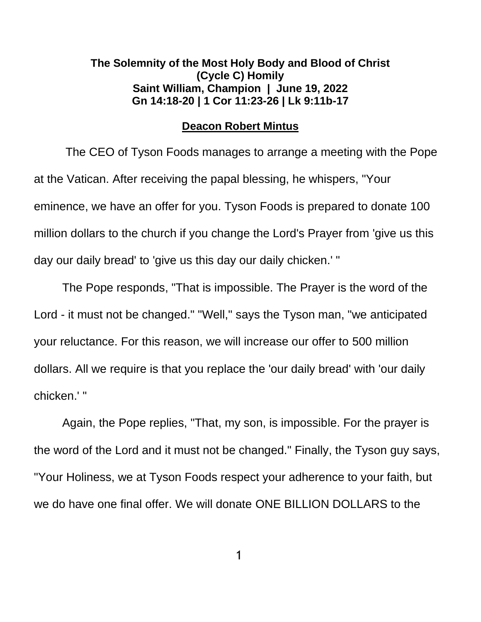## **The Solemnity of the Most Holy Body and Blood of Christ (Cycle C) Homily Saint William, Champion | June 19, 2022 [Gn 14:18-20](about:blank) | [1 Cor 11:23-26](about:blank) | [Lk 9:11b-17](about:blank)**

## **Deacon Robert Mintus**

The CEO of Tyson Foods manages to arrange a meeting with the Pope at the Vatican. After receiving the papal blessing, he whispers, "Your eminence, we have an offer for you. Tyson Foods is prepared to donate 100 million dollars to the church if you change the Lord's Prayer from 'give us this day our daily bread' to 'give us this day our daily chicken.' "

The Pope responds, "That is impossible. The Prayer is the word of the Lord - it must not be changed." "Well," says the Tyson man, "we anticipated your reluctance. For this reason, we will increase our offer to 500 million dollars. All we require is that you replace the 'our daily bread' with 'our daily chicken.' "

Again, the Pope replies, "That, my son, is impossible. For the prayer is the word of the Lord and it must not be changed." Finally, the Tyson guy says, "Your Holiness, we at Tyson Foods respect your adherence to your faith, but we do have one final offer. We will donate ONE BILLION DOLLARS to the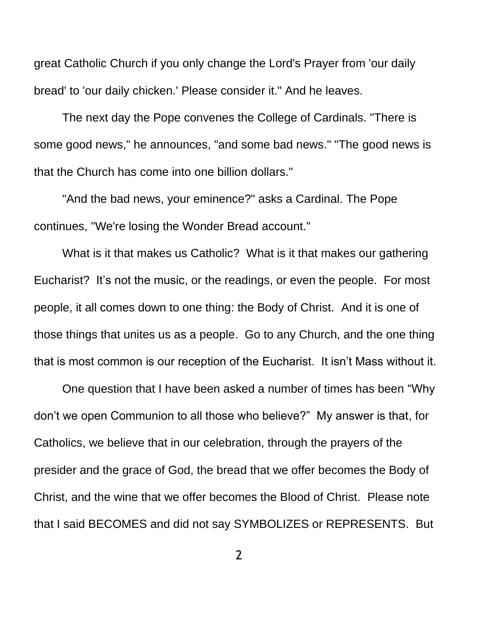great Catholic Church if you only change the Lord's Prayer from 'our daily bread' to 'our daily chicken.' Please consider it." And he leaves.

The next day the Pope convenes the College of Cardinals. "There is some good news," he announces, "and some bad news." "The good news is that the Church has come into one billion dollars."

"And the bad news, your eminence?" asks a Cardinal. The Pope continues, "We're losing the Wonder Bread account."

What is it that makes us Catholic? What is it that makes our gathering Eucharist? It's not the music, or the readings, or even the people. For most people, it all comes down to one thing: the Body of Christ. And it is one of those things that unites us as a people. Go to any Church, and the one thing that is most common is our reception of the Eucharist. It isn't Mass without it.

One question that I have been asked a number of times has been "Why don't we open Communion to all those who believe?" My answer is that, for Catholics, we believe that in our celebration, through the prayers of the presider and the grace of God, the bread that we offer becomes the Body of Christ, and the wine that we offer becomes the Blood of Christ. Please note that I said BECOMES and did not say SYMBOLIZES or REPRESENTS. But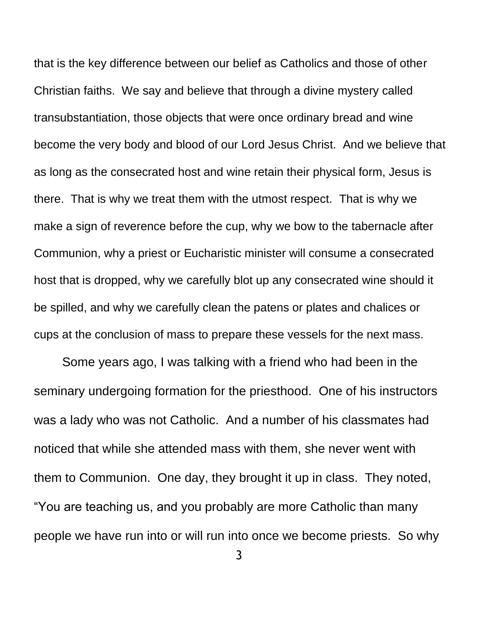that is the key difference between our belief as Catholics and those of other Christian faiths. We say and believe that through a divine mystery called transubstantiation, those objects that were once ordinary bread and wine become the very body and blood of our Lord Jesus Christ. And we believe that as long as the consecrated host and wine retain their physical form, Jesus is there. That is why we treat them with the utmost respect. That is why we make a sign of reverence before the cup, why we bow to the tabernacle after Communion, why a priest or Eucharistic minister will consume a consecrated host that is dropped, why we carefully blot up any consecrated wine should it be spilled, and why we carefully clean the patens or plates and chalices or cups at the conclusion of mass to prepare these vessels for the next mass.

Some years ago, I was talking with a friend who had been in the seminary undergoing formation for the priesthood. One of his instructors was a lady who was not Catholic. And a number of his classmates had noticed that while she attended mass with them, she never went with them to Communion. One day, they brought it up in class. They noted, "You are teaching us, and you probably are more Catholic than many people we have run into or will run into once we become priests. So why